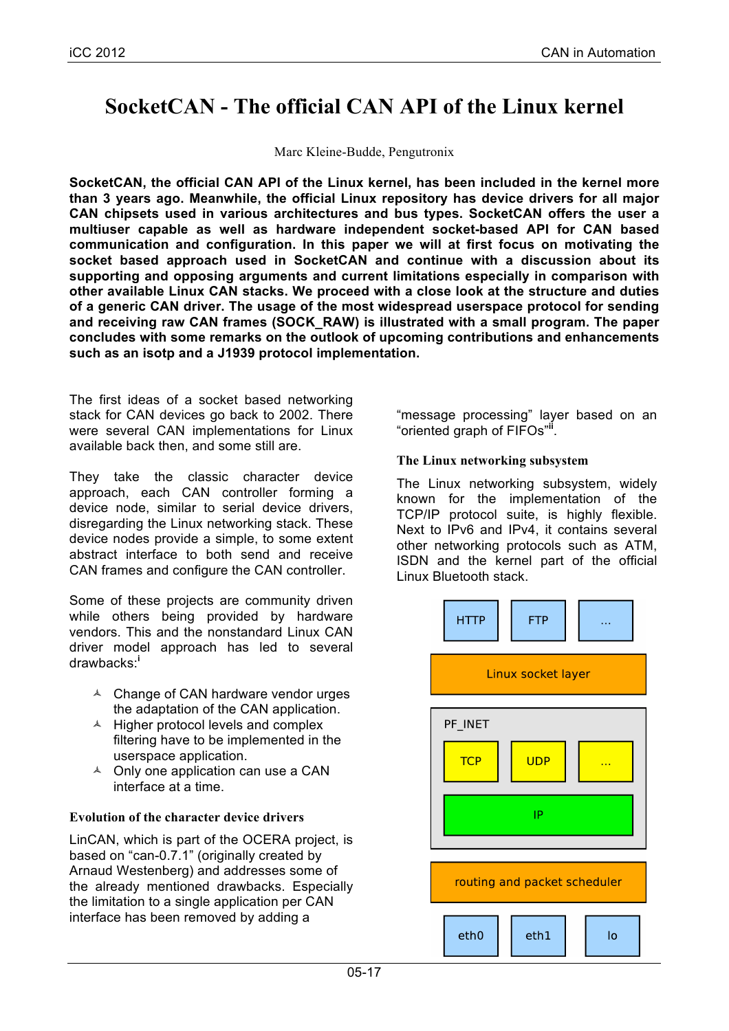# **SocketCAN - The official CAN API of the Linux kernel**

Marc Kleine-Budde, Pengutronix

**SocketCAN, the official CAN API of the Linux kernel, has been included in the kernel more than 3 years ago. Meanwhile, the official Linux repository has device drivers for all major CAN chipsets used in various architectures and bus types. SocketCAN offers the user a multiuser capable as well as hardware independent socket-based API for CAN based communication and configuration. In this paper we will at first focus on motivating the socket based approach used in SocketCAN and continue with a discussion about its supporting and opposing arguments and current limitations especially in comparison with other available Linux CAN stacks. We proceed with a close look at the structure and duties of a generic CAN driver. The usage of the most widespread userspace protocol for sending and receiving raw CAN frames (SOCK\_RAW) is illustrated with a small program. The paper concludes with some remarks on the outlook of upcoming contributions and enhancements such as an isotp and a J1939 protocol implementation.**

The first ideas of a socket based networking stack for CAN devices go back to 2002. There were several CAN implementations for Linux available back then, and some still are.

They take the classic character device approach, each CAN controller forming a device node, similar to serial device drivers, disregarding the Linux networking stack. These device nodes provide a simple, to some extent abstract interface to both send and receive CAN frames and configure the CAN controller.

Some of these projects are community driven while others being provided by hardware vendors. This and the nonstandard Linux CAN driver model approach has led to several drawbacks:**<sup>i</sup>**

- $\triangle$  Change of CAN hardware vendor urges the adaptation of the CAN application.
- $\triangle$  Higher protocol levels and complex filtering have to be implemented in the userspace application.
- $\triangle$  Only one application can use a CAN interface at a time.

## **Evolution of the character device drivers**

LinCAN, which is part of the OCERA project, is based on "can-0.7.1" (originally created by Arnaud Westenberg) and addresses some of the already mentioned drawbacks. Especially the limitation to a single application per CAN interface has been removed by adding a

"message processing" layer based on an "oriented graph of FIFOs"**ii** .

## **The Linux networking subsystem**

The Linux networking subsystem, widely known for the implementation of the TCP/IP protocol suite, is highly flexible. Next to IPv6 and IPv4, it contains several other networking protocols such as ATM, ISDN and the kernel part of the official Linux Bluetooth stack.

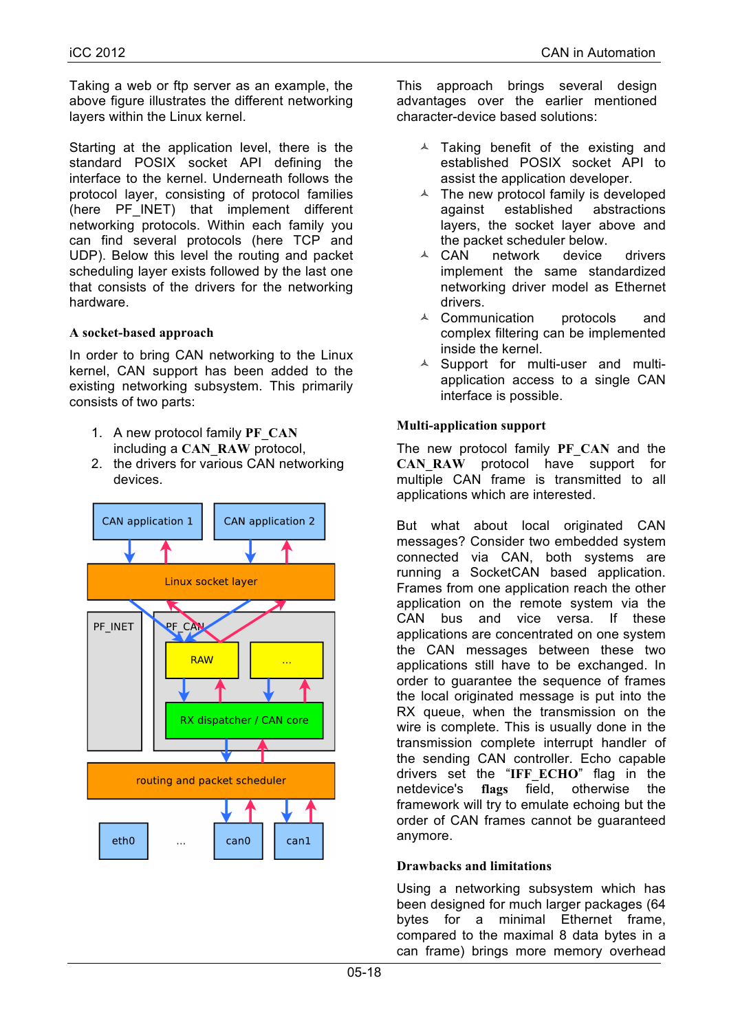Taking a web or ftp server as an example, the above figure illustrates the different networking layers within the Linux kernel.

Starting at the application level, there is the standard POSIX socket API defining the interface to the kernel. Underneath follows the protocol layer, consisting of protocol families (here PF\_INET) that implement different networking protocols. Within each family you can find several protocols (here TCP and UDP). Below this level the routing and packet scheduling layer exists followed by the last one that consists of the drivers for the networking hardware.

## **A socket-based approach**

In order to bring CAN networking to the Linux kernel, CAN support has been added to the existing networking subsystem. This primarily consists of two parts:

- 1. A new protocol family **PF\_CAN** including a **CAN\_RAW** protocol,
- 2. the drivers for various CAN networking devices.



This approach brings several design advantages over the earlier mentioned character-device based solutions:

- $\triangle$  Taking benefit of the existing and established POSIX socket API to assist the application developer.
- $\triangle$  The new protocol family is developed against established abstractions layers, the socket layer above and the packet scheduler below.
- $\triangle$  CAN network device drivers implement the same standardized networking driver model as Ethernet drivers.
- $\triangle$  Communication protocols and complex filtering can be implemented inside the kernel.
- $\triangle$  Support for multi-user and multiapplication access to a single CAN interface is possible.

## **Multi-application support**

The new protocol family **PF\_CAN** and the CAN RAW protocol have support for multiple CAN frame is transmitted to all applications which are interested.

But what about local originated CAN messages? Consider two embedded system connected via CAN, both systems are running a SocketCAN based application. Frames from one application reach the other application on the remote system via the CAN bus and vice versa. If these applications are concentrated on one system the CAN messages between these two applications still have to be exchanged. In order to guarantee the sequence of frames the local originated message is put into the RX queue, when the transmission on the wire is complete. This is usually done in the transmission complete interrupt handler of the sending CAN controller. Echo capable drivers set the "**IFF\_ECHO**" flag in the netdevice's **flags** field, otherwise the framework will try to emulate echoing but the order of CAN frames cannot be guaranteed anymore.

## **Drawbacks and limitations**

Using a networking subsystem which has been designed for much larger packages (64 bytes for a minimal Ethernet frame, compared to the maximal 8 data bytes in a can frame) brings more memory overhead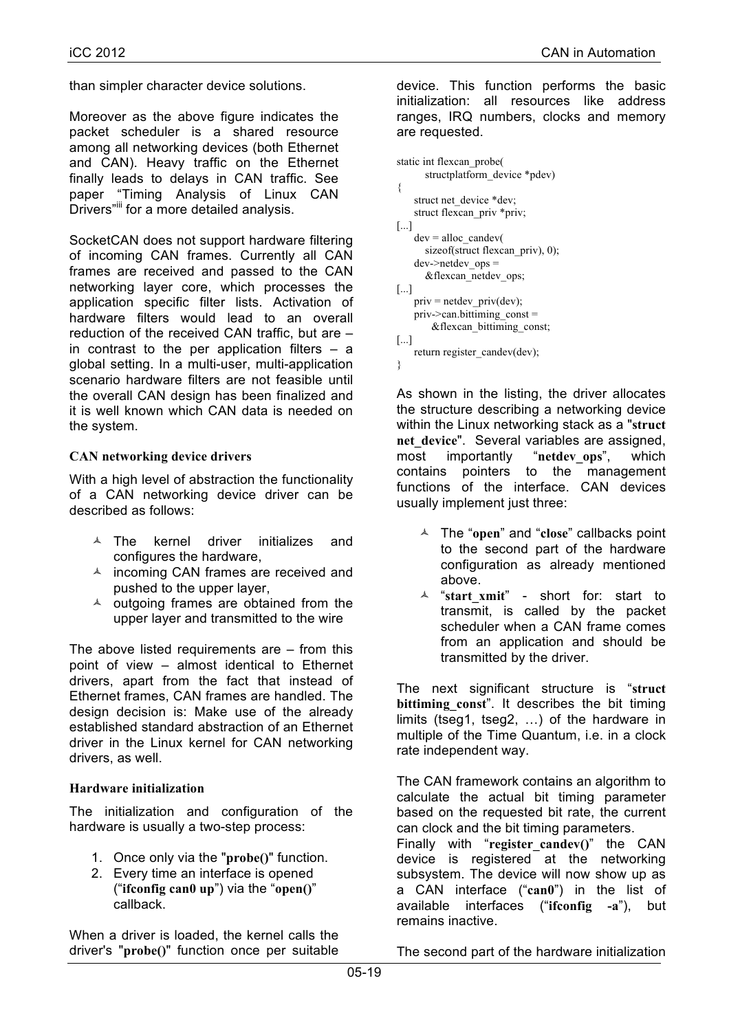than simpler character device solutions.

Moreover as the above figure indicates the packet scheduler is a shared resource among all networking devices (both Ethernet and CAN). Heavy traffic on the Ethernet finally leads to delays in CAN traffic. See paper "Timing Analysis of Linux CAN Drivers"<sup>iii</sup> for a more detailed analysis.

SocketCAN does not support hardware filtering of incoming CAN frames. Currently all CAN frames are received and passed to the CAN networking layer core, which processes the application specific filter lists. Activation of hardware filters would lead to an overall reduction of the received CAN traffic, but are – in contrast to the per application filters  $-$  a global setting. In a multi-user, multi-application scenario hardware filters are not feasible until the overall CAN design has been finalized and it is well known which CAN data is needed on the system.

#### **CAN networking device drivers**

With a high level of abstraction the functionality of a CAN networking device driver can be described as follows:

- $\triangle$  The kernel driver initializes and configures the hardware,
- $\triangle$  incoming CAN frames are received and pushed to the upper layer,
- $\triangle$  outgoing frames are obtained from the upper layer and transmitted to the wire

The above listed requirements are  $-$  from this point of view – almost identical to Ethernet drivers, apart from the fact that instead of Ethernet frames, CAN frames are handled. The design decision is: Make use of the already established standard abstraction of an Ethernet driver in the Linux kernel for CAN networking drivers, as well.

#### **Hardware initialization**

The initialization and configuration of the hardware is usually a two-step process:

- 1. Once only via the "**probe()**" function.
- 2. Every time an interface is opened ("**ifconfig can0 up**") via the "**open()**" callback.

When a driver is loaded, the kernel calls the driver's "**probe()**" function once per suitable device. This function performs the basic initialization: all resources like address ranges, IRQ numbers, clocks and memory are requested.

```
static int flexcan_probe(
       structplatform_device *pdev)
{
   struct net device *dev;
   struct flexcan_priv *priv;
[...]
   dev =alloc candev(
      sizeof(struct flexcan_priv), 0);
   dev->netdev ops =
       &flexcan_netdev_ops;
[...]
   priv = netdev_priv(dev);
   priv->can.bittiming_const =
       &flexcan_bittiming_const;
[...]
   return register_candev(dev);
}
```
As shown in the listing, the driver allocates the structure describing a networking device within the Linux networking stack as a "**struct net\_device**". Several variables are assigned, most importantly "**netdev\_ops**", which contains pointers to the management functions of the interface. CAN devices usually implement just three:

- ñ The "**open**" and "**close**" callbacks point to the second part of the hardware configuration as already mentioned above.
- ñ "**start\_xmit**" short for: start to transmit, is called by the packet scheduler when a CAN frame comes from an application and should be transmitted by the driver.

The next significant structure is "**struct bittiming const**". It describes the bit timing limits (tseg1, tseg2, …) of the hardware in multiple of the Time Quantum, i.e. in a clock rate independent way.

The CAN framework contains an algorithm to calculate the actual bit timing parameter based on the requested bit rate, the current can clock and the bit timing parameters.

Finally with "**register\_candev()**" the CAN device is registered at the networking subsystem. The device will now show up as a CAN interface ("**can0**") in the list of available interfaces ("**ifconfig -a**"), but remains inactive.

The second part of the hardware initialization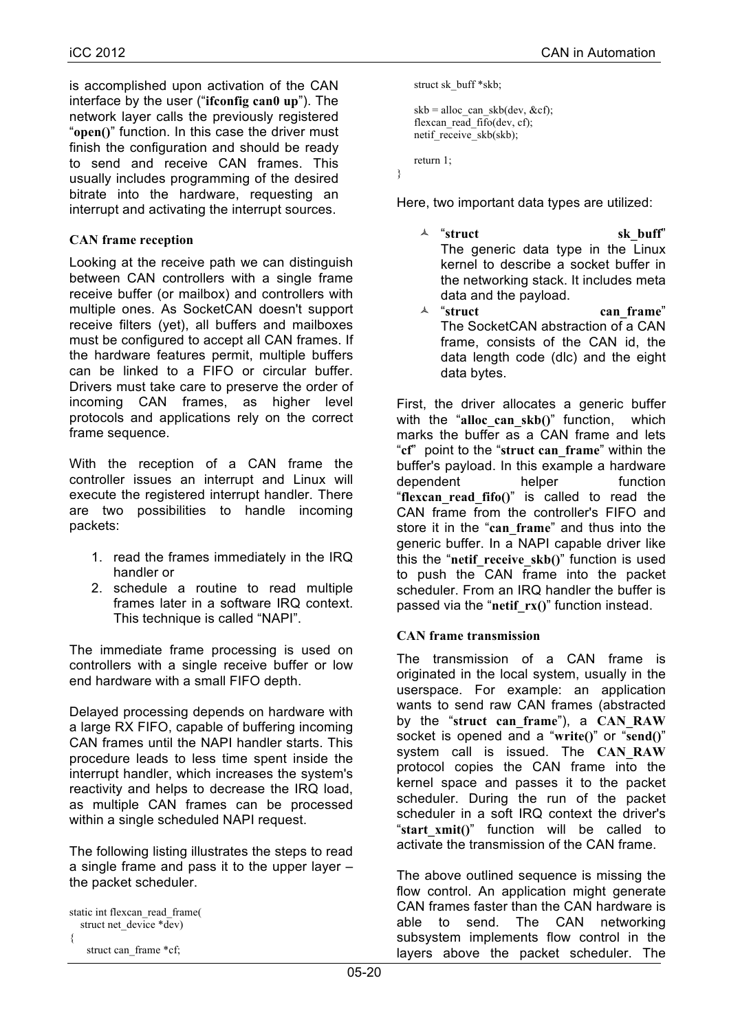is accomplished upon activation of the CAN interface by the user ("**ifconfig can0 up**"). The network layer calls the previously registered "**open()**" function. In this case the driver must finish the configuration and should be ready to send and receive CAN frames. This usually includes programming of the desired bitrate into the hardware, requesting an interrupt and activating the interrupt sources.

### **CAN frame reception**

Looking at the receive path we can distinguish between CAN controllers with a single frame receive buffer (or mailbox) and controllers with multiple ones. As SocketCAN doesn't support receive filters (yet), all buffers and mailboxes must be configured to accept all CAN frames. If the hardware features permit, multiple buffers can be linked to a FIFO or circular buffer. Drivers must take care to preserve the order of incoming CAN frames, as higher level protocols and applications rely on the correct frame sequence.

With the reception of a CAN frame the controller issues an interrupt and Linux will execute the registered interrupt handler. There are two possibilities to handle incoming packets:

- 1. read the frames immediately in the IRQ handler or
- 2. schedule a routine to read multiple frames later in a software IRQ context. This technique is called "NAPI".

The immediate frame processing is used on controllers with a single receive buffer or low end hardware with a small FIFO depth.

Delayed processing depends on hardware with a large RX FIFO, capable of buffering incoming CAN frames until the NAPI handler starts. This procedure leads to less time spent inside the interrupt handler, which increases the system's reactivity and helps to decrease the IRQ load, as multiple CAN frames can be processed within a single scheduled NAPI request.

The following listing illustrates the steps to read a single frame and pass it to the upper layer – the packet scheduler.

```
static int flexcan_read_frame(
  struct net device *dev)
{
   struct can frame *cf;
```

```
struct sk_buff *skb;
skb =alloc can skb(dev, &cf);
flexcan_read_fifo(dev, cf);
netif_receive_skb(skb);
return 1;
```
}

Here, two important data types are utilized:

- <sup> $\triangle$ </sup> "struct sk buff" The generic data type in the Linux kernel to describe a socket buffer in the networking stack. It includes meta data and the payload.
- <sup> $\triangle$ </sup> "struct can frame" The SocketCAN abstraction of a CAN frame, consists of the CAN id, the data length code (dlc) and the eight data bytes.

First, the driver allocates a generic buffer with the "**alloc\_can\_skb()**" function, which marks the buffer as a CAN frame and lets "**cf**" point to the "**struct can\_frame**" within the buffer's payload. In this example a hardware dependent helper function "**flexcan\_read\_fifo()**" is called to read the CAN frame from the controller's FIFO and store it in the "**can\_frame**" and thus into the generic buffer. In a NAPI capable driver like this the "**netif\_receive\_skb()**" function is used to push the CAN frame into the packet scheduler. From an IRQ handler the buffer is passed via the "**netif\_rx()**" function instead.

## **CAN frame transmission**

The transmission of a CAN frame is originated in the local system, usually in the userspace. For example: an application wants to send raw CAN frames (abstracted by the "**struct can\_frame**"), a **CAN\_RAW** socket is opened and a "**write()**" or "**send()**" system call is issued. The **CAN\_RAW** protocol copies the CAN frame into the kernel space and passes it to the packet scheduler. During the run of the packet scheduler in a soft IRQ context the driver's "**start\_xmit()**" function will be called to activate the transmission of the CAN frame.

The above outlined sequence is missing the flow control. An application might generate CAN frames faster than the CAN hardware is able to send. The CAN networking subsystem implements flow control in the layers above the packet scheduler. The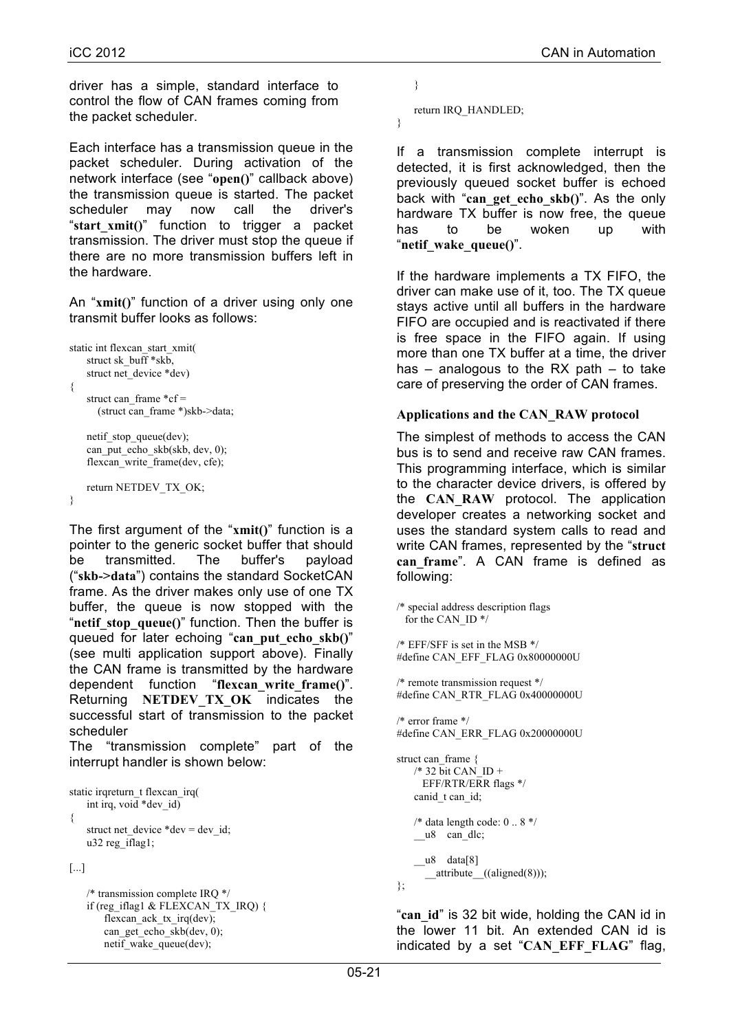driver has a simple, standard interface to control the flow of CAN frames coming from the packet scheduler.

Each interface has a transmission queue in the packet scheduler. During activation of the network interface (see "**open()**" callback above) the transmission queue is started. The packet scheduler may now call the driver's "**start\_xmit()**" function to trigger a packet transmission. The driver must stop the queue if there are no more transmission buffers left in the hardware.

An "**xmit()**" function of a driver using only one transmit buffer looks as follows:

```
static int flexcan_start_xmit(
   struct sk_buff *skb,
   struct net device *dev)
{
   struct can frame *cf = (struct can_frame *)skb->data;
   netif stop queue(dev);
   can_put_echo_skb(skb, dev, 0);
```
flexcan\_write\_frame(dev, cfe); return NETDEV\_TX\_OK;

```
}
```
The first argument of the "**xmit()**" function is a pointer to the generic socket buffer that should be transmitted. The buffer's payload ("**skb->data**") contains the standard SocketCAN frame. As the driver makes only use of one TX buffer, the queue is now stopped with the "netif stop queue()" function. Then the buffer is queued for later echoing "**can\_put\_echo\_skb()**" (see multi application support above). Finally the CAN frame is transmitted by the hardware dependent function "**flexcan\_write\_frame()**". Returning **NETDEV\_TX\_OK** indicates the successful start of transmission to the packet scheduler

The "transmission complete" part of the interrupt handler is shown below:

```
static irqreturn t flexcan irq(
   int irq, void *dev_id)
{
    struct net device *dev = dev id;
   u32 reg_iflag1;
```
[...]

/\* transmission complete IRQ \*/ if (reg\_iflag1 & FLEXCAN\_TX\_IRQ) { flexcan\_ack\_tx\_irq(dev); can get echo  $skb$ (dev, 0); netif\_wake\_queue(dev);

```
}
```
}

return IRQ\_HANDLED;

If a transmission complete interrupt is detected, it is first acknowledged, then the previously queued socket buffer is echoed back with "**can\_get\_echo\_skb()**". As the only hardware TX buffer is now free, the queue has to be woken up with "**netif\_wake\_queue()**".

If the hardware implements a TX FIFO, the driver can make use of it, too. The TX queue stays active until all buffers in the hardware FIFO are occupied and is reactivated if there is free space in the FIFO again. If using more than one TX buffer at a time, the driver has – analogous to the RX path – to take care of preserving the order of CAN frames.

#### **Applications and the CAN\_RAW protocol**

The simplest of methods to access the CAN bus is to send and receive raw CAN frames. This programming interface, which is similar to the character device drivers, is offered by the **CAN\_RAW** protocol. The application developer creates a networking socket and uses the standard system calls to read and write CAN frames, represented by the "**struct can\_frame**". A CAN frame is defined as following:

/\* special address description flags for the CAN\_ID \*/

/\* EFF/SFF is set in the MSB \*/ #define CAN\_EFF\_FLAG 0x80000000U

/\* remote transmission request \*/ #define CAN\_RTR\_FLAG 0x40000000U

/\* error frame \*/ #define CAN\_ERR\_FLAG 0x20000000U

```
struct can_frame {
    /* 32 \overline{bit} CAN ID +
      EFF/RTR/ERR flags */
    canid t can id;
    /* data length code: 0 .. 8 */
    u8 can dlc;
    u8 data[8]
       __attribute__((aligned(8)));
};
```
"**can\_id**" is 32 bit wide, holding the CAN id in the lower 11 bit. An extended CAN id is indicated by a set "**CAN\_EFF\_FLAG**" flag,